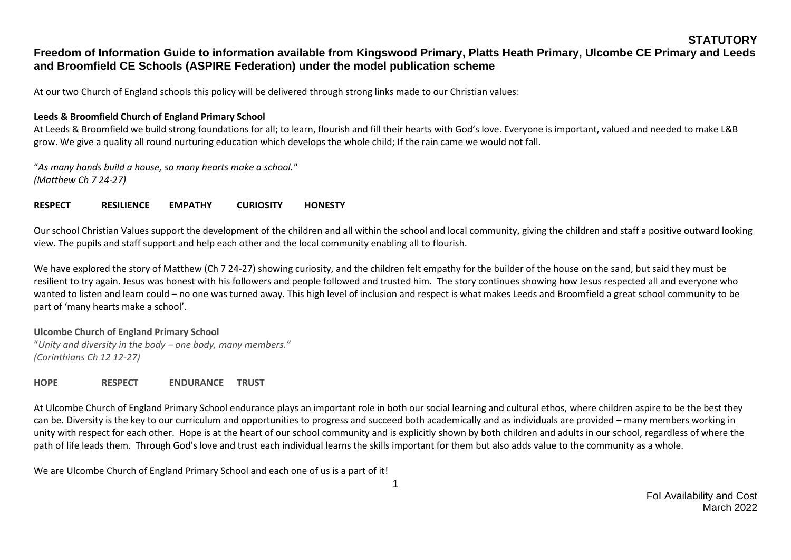#### **STATUTORY**

# **Freedom of Information Guide to information available from Kingswood Primary, Platts Heath Primary, Ulcombe CE Primary and Leeds and Broomfield CE Schools (ASPIRE Federation) under the model publication scheme**

At our two Church of England schools this policy will be delivered through strong links made to our Christian values:

#### **Leeds & Broomfield Church of England Primary School**

At Leeds & Broomfield we build strong foundations for all; to learn, flourish and fill their hearts with God's love. Everyone is important, valued and needed to make L&B grow. We give a quality all round nurturing education which develops the whole child; If the rain came we would not fall.

"*As many hands build a house, so many hearts make a school." (Matthew Ch 7 24-27)*

#### **RESPECT RESILIENCE EMPATHY CURIOSITY HONESTY**

Our school Christian Values support the development of the children and all within the school and local community, giving the children and staff a positive outward looking view. The pupils and staff support and help each other and the local community enabling all to flourish.

We have explored the story of Matthew (Ch 7 24-27) showing curiosity, and the children felt empathy for the builder of the house on the sand, but said they must be resilient to try again. Jesus was honest with his followers and people followed and trusted him. The story continues showing how Jesus respected all and everyone who wanted to listen and learn could – no one was turned away. This high level of inclusion and respect is what makes Leeds and Broomfield a great school community to be part of 'many hearts make a school'.

#### **Ulcombe Church of England Primary School**

"*Unity and diversity in the body – one body, many members." (Corinthians Ch 12 12-27)*

**HOPE RESPECT ENDURANCE TRUST**

At Ulcombe Church of England Primary School endurance plays an important role in both our social learning and cultural ethos, where children aspire to be the best they can be. Diversity is the key to our curriculum and opportunities to progress and succeed both academically and as individuals are provided – many members working in unity with respect for each other. Hope is at the heart of our school community and is explicitly shown by both children and adults in our school, regardless of where the path of life leads them. Through God's love and trust each individual learns the skills important for them but also adds value to the community as a whole.

We are Ulcombe Church of England Primary School and each one of us is a part of it!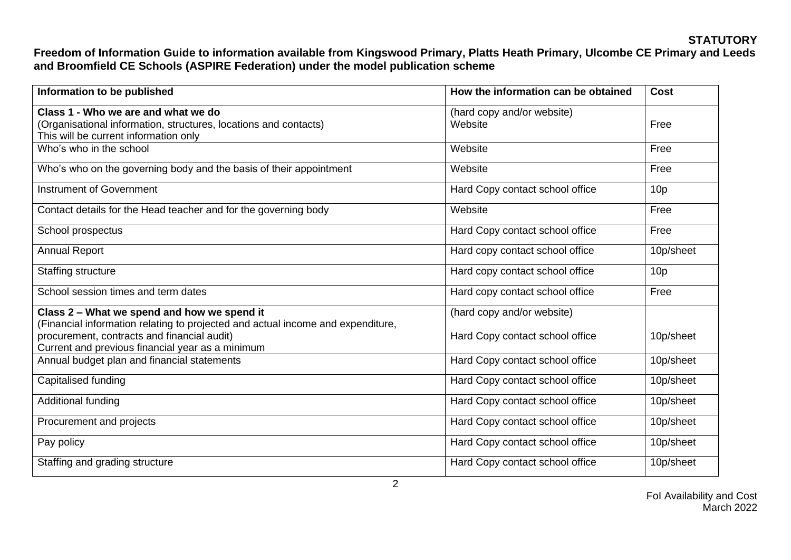| Information to be published                                                                                                                                                        | How the information can be obtained   | <b>Cost</b>     |
|------------------------------------------------------------------------------------------------------------------------------------------------------------------------------------|---------------------------------------|-----------------|
| Class 1 - Who we are and what we do<br>(Organisational information, structures, locations and contacts)<br>This will be current information only                                   | (hard copy and/or website)<br>Website | Free            |
| Who's who in the school                                                                                                                                                            | Website                               | Free            |
| Who's who on the governing body and the basis of their appointment                                                                                                                 | Website                               | Free            |
| <b>Instrument of Government</b>                                                                                                                                                    | Hard Copy contact school office       | 10 <sub>p</sub> |
| Contact details for the Head teacher and for the governing body                                                                                                                    | Website                               | Free            |
| School prospectus                                                                                                                                                                  | Hard Copy contact school office       | Free            |
| <b>Annual Report</b>                                                                                                                                                               | Hard copy contact school office       | 10p/sheet       |
| <b>Staffing structure</b>                                                                                                                                                          | Hard copy contact school office       | 10 <sub>p</sub> |
| School session times and term dates                                                                                                                                                | Hard copy contact school office       | Free            |
| Class 2 - What we spend and how we spend it                                                                                                                                        | (hard copy and/or website)            |                 |
| (Financial information relating to projected and actual income and expenditure,<br>procurement, contracts and financial audit)<br>Current and previous financial year as a minimum | Hard Copy contact school office       | 10p/sheet       |
| Annual budget plan and financial statements                                                                                                                                        | Hard Copy contact school office       | 10p/sheet       |
| Capitalised funding                                                                                                                                                                | Hard Copy contact school office       | 10p/sheet       |
| Additional funding                                                                                                                                                                 | Hard Copy contact school office       | 10p/sheet       |
| Procurement and projects                                                                                                                                                           | Hard Copy contact school office       | 10p/sheet       |
| Pay policy                                                                                                                                                                         | Hard Copy contact school office       | 10p/sheet       |
| Staffing and grading structure                                                                                                                                                     | Hard Copy contact school office       | 10p/sheet       |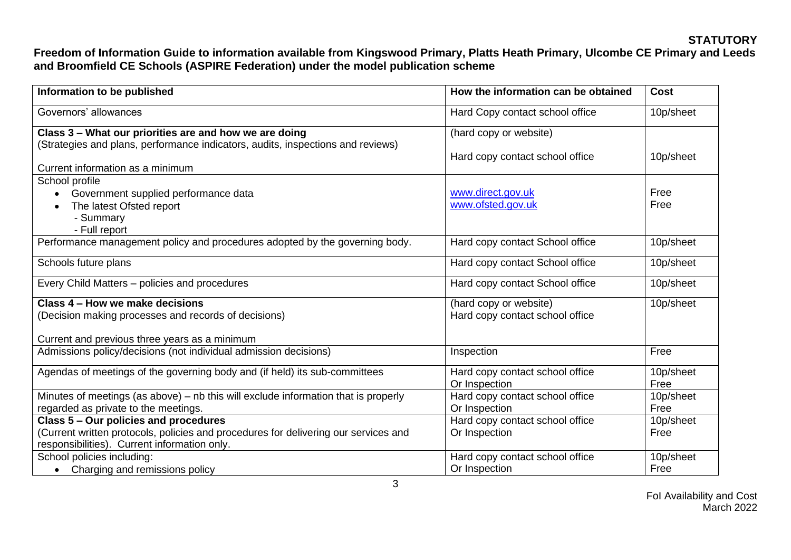| Information to be published                                                         | How the information can be obtained              | <b>Cost</b>       |
|-------------------------------------------------------------------------------------|--------------------------------------------------|-------------------|
| Governors' allowances                                                               | Hard Copy contact school office                  | 10p/sheet         |
| Class 3 - What our priorities are and how we are doing                              | (hard copy or website)                           |                   |
| (Strategies and plans, performance indicators, audits, inspections and reviews)     |                                                  |                   |
|                                                                                     | Hard copy contact school office                  | 10p/sheet         |
| Current information as a minimum                                                    |                                                  |                   |
| School profile                                                                      |                                                  |                   |
| Government supplied performance data                                                | www.direct.gov.uk                                | Free              |
| The latest Ofsted report                                                            | www.ofsted.gov.uk                                | Free              |
| - Summary                                                                           |                                                  |                   |
| - Full report                                                                       |                                                  |                   |
| Performance management policy and procedures adopted by the governing body.         | Hard copy contact School office                  | 10p/sheet         |
| Schools future plans                                                                | Hard copy contact School office                  | 10p/sheet         |
| Every Child Matters - policies and procedures                                       | Hard copy contact School office                  | 10p/sheet         |
| Class 4 – How we make decisions                                                     | (hard copy or website)                           | 10p/sheet         |
| (Decision making processes and records of decisions)                                | Hard copy contact school office                  |                   |
| Current and previous three years as a minimum                                       |                                                  |                   |
| Admissions policy/decisions (not individual admission decisions)                    | Inspection                                       | Free              |
|                                                                                     |                                                  |                   |
| Agendas of meetings of the governing body and (if held) its sub-committees          | Hard copy contact school office                  | 10p/sheet         |
|                                                                                     | Or Inspection                                    | Free              |
| Minutes of meetings (as above) - nb this will exclude information that is properly  | Hard copy contact school office<br>Or Inspection | 10p/sheet<br>Free |
| regarded as private to the meetings.                                                |                                                  |                   |
| Class 5 - Our policies and procedures                                               | Hard copy contact school office                  | 10p/sheet         |
| (Current written protocols, policies and procedures for delivering our services and | Or Inspection                                    | Free              |
| responsibilities). Current information only.                                        |                                                  |                   |
| School policies including:                                                          | Hard copy contact school office                  | 10p/sheet         |
| Charging and remissions policy                                                      | Or Inspection                                    | Free              |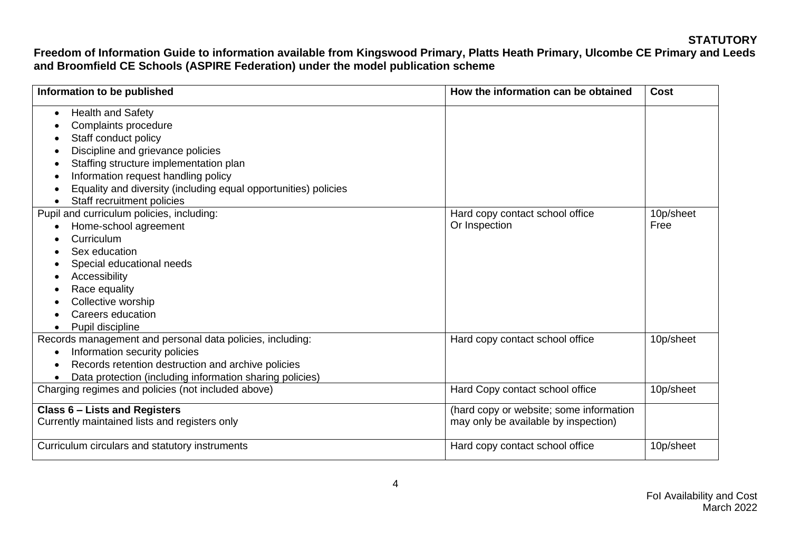| Information to be published                                     | How the information can be obtained     | Cost      |
|-----------------------------------------------------------------|-----------------------------------------|-----------|
| <b>Health and Safety</b><br>$\bullet$                           |                                         |           |
| Complaints procedure                                            |                                         |           |
| Staff conduct policy<br>٠                                       |                                         |           |
| Discipline and grievance policies<br>$\bullet$                  |                                         |           |
| Staffing structure implementation plan<br>٠                     |                                         |           |
| Information request handling policy<br>٠                        |                                         |           |
| Equality and diversity (including equal opportunities) policies |                                         |           |
| Staff recruitment policies                                      |                                         |           |
| Pupil and curriculum policies, including:                       | Hard copy contact school office         | 10p/sheet |
| Home-school agreement                                           | Or Inspection                           | Free      |
| Curriculum                                                      |                                         |           |
| Sex education                                                   |                                         |           |
| Special educational needs                                       |                                         |           |
| Accessibility<br>$\bullet$                                      |                                         |           |
| Race equality                                                   |                                         |           |
| Collective worship                                              |                                         |           |
| Careers education                                               |                                         |           |
| Pupil discipline                                                |                                         |           |
| Records management and personal data policies, including:       | Hard copy contact school office         | 10p/sheet |
| Information security policies<br>$\bullet$                      |                                         |           |
| Records retention destruction and archive policies<br>$\bullet$ |                                         |           |
| Data protection (including information sharing policies)        |                                         |           |
| Charging regimes and policies (not included above)              | Hard Copy contact school office         | 10p/sheet |
| <b>Class 6 - Lists and Registers</b>                            | (hard copy or website; some information |           |
| Currently maintained lists and registers only                   | may only be available by inspection)    |           |
| Curriculum circulars and statutory instruments                  | Hard copy contact school office         | 10p/sheet |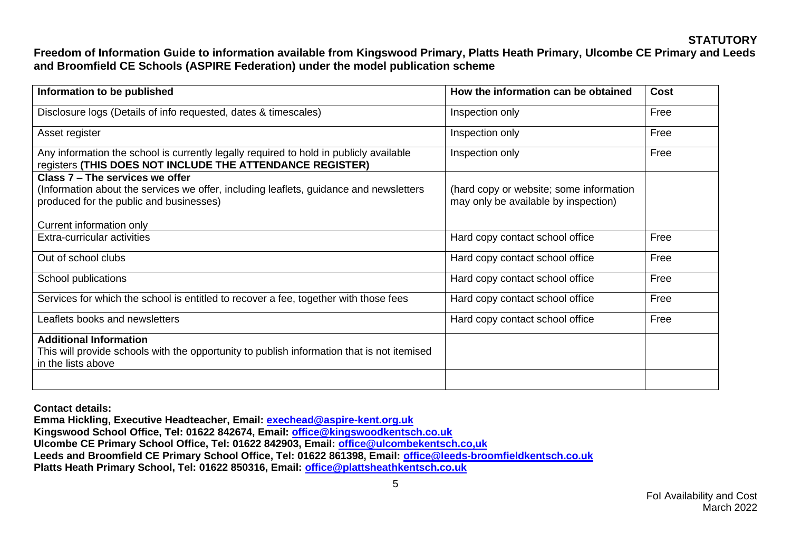| Information to be published                                                                                                                                                                      | How the information can be obtained                                             | <b>Cost</b> |
|--------------------------------------------------------------------------------------------------------------------------------------------------------------------------------------------------|---------------------------------------------------------------------------------|-------------|
| Disclosure logs (Details of info requested, dates & timescales)                                                                                                                                  | Inspection only                                                                 | Free        |
| Asset register                                                                                                                                                                                   | Inspection only                                                                 | Free        |
| Any information the school is currently legally required to hold in publicly available<br>registers (THIS DOES NOT INCLUDE THE ATTENDANCE REGISTER)                                              | Inspection only                                                                 | Free        |
| Class 7 – The services we offer<br>(Information about the services we offer, including leaflets, guidance and newsletters<br>produced for the public and businesses)<br>Current information only | (hard copy or website; some information<br>may only be available by inspection) |             |
| Extra-curricular activities                                                                                                                                                                      | Hard copy contact school office                                                 | Free        |
| Out of school clubs                                                                                                                                                                              | Hard copy contact school office                                                 | Free        |
| School publications                                                                                                                                                                              | Hard copy contact school office                                                 | Free        |
| Services for which the school is entitled to recover a fee, together with those fees                                                                                                             | Hard copy contact school office                                                 | Free        |
| Leaflets books and newsletters                                                                                                                                                                   | Hard copy contact school office                                                 | Free        |
| <b>Additional Information</b><br>This will provide schools with the opportunity to publish information that is not itemised<br>in the lists above                                                |                                                                                 |             |
|                                                                                                                                                                                                  |                                                                                 |             |

**Contact details:**

**Emma Hickling, Executive Headteacher, Email: [exechead@aspire-kent.org.uk](mailto:exechead@aspire-kent.org.uk) Kingswood School Office, Tel: 01622 842674, Email: [office@kingswoodkentsch.co.uk](mailto:office@kingswoodkentsch.co.uk) Ulcombe CE Primary School Office, Tel: 01622 842903, Email: [office@ulcombekentsch.co,uk](mailto:office@ulcombekentsch.co,uk) Leeds and Broomfield CE Primary School Office, Tel: 01622 861398, Email: [office@leeds-broomfieldkentsch.co.uk](mailto:office@leeds-broomfieldkentsch.co.uk) Platts Heath Primary School, Tel: 01622 850316, Email: [office@plattsheathkentsch.co.uk](mailto:office@plattsheathkentsch.co.uk)**